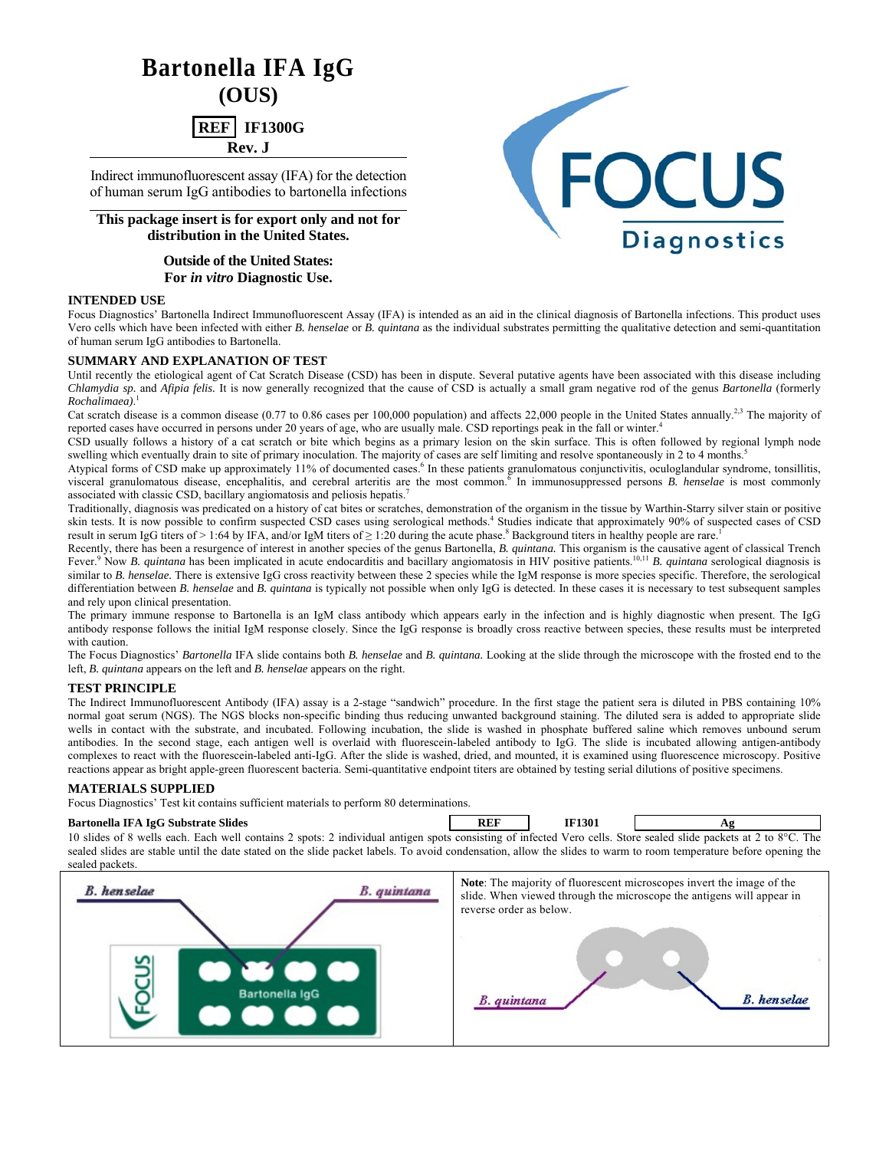# **Bartonella IFA IgG (OUS)**

**REF** IF1300G **Rev. J**

Indirect immunofluorescent assay (IFA) for the detection of human serum IgG antibodies to bartonella infections

**This package insert is for export only and not for distribution in the United States.** 

> **Outside of the United States: For** *in vitro* **Diagnostic Use.**

# **INTENDED USE**

Focus Diagnostics' Bartonella Indirect Immunofluorescent Assay (IFA) is intended as an aid in the clinical diagnosis of Bartonella infections. This product uses Vero cells which have been infected with either *B. henselae* or *B. quintana* as the individual substrates permitting the qualitative detection and semi-quantitation of human serum IgG antibodies to Bartonella.

# **SUMMARY AND EXPLANATION OF TEST**

Until recently the etiological agent of Cat Scratch Disease (CSD) has been in dispute. Several putative agents have been associated with this disease including *Chlamydia sp.* and *Afipia felis.* It is now generally recognized that the cause of CSD is actually a small gram negative rod of the genus *Bartonella* (formerly *Rochalimaea)*. 1

Cat scratch disease is a common disease (0.77 to 0.86 cases per 100,000 population) and affects 22,000 people in the United States annually.<sup>2,3</sup> The majority of reported cases have occurred in persons under 20 years of age, who are usually male. CSD reportings peak in the fall or winter.<sup>4</sup>

CSD usually follows a history of a cat scratch or bite which begins as a primary lesion on the skin surface. This is often followed by regional lymph node swelling which eventually drain to site of primary inoculation. The majority of cases are self limiting and resolve spontaneously in 2 to 4 months.<sup>5</sup>

Atypical forms of CSD make up approximately 11% of documented cases.<sup>6</sup> In these patients granulomatous conjunctivitis, oculoglandular syndrome, tonsillitis, visceral granulomatous disease, encephalitis, and cerebral arteritis are the most common.<sup>6</sup> In immunosuppressed persons *B. henselae* is most commonly associated with classic CSD, bacillary angiomatosis and peliosis hepatis.<sup>7</sup>

Traditionally, diagnosis was predicated on a history of cat bites or scratches, demonstration of the organism in the tissue by Warthin-Starry silver stain or positive skin tests. It is now possible to confirm suspected CSD cases using serological methods.<sup>4</sup> Studies indicate that approximately 90% of suspected cases of CSD result in serum IgG titers of > 1:64 by IFA, and/or IgM titers of  $\geq 1:20$  during the acute phase.<sup>8</sup> Background titers in healthy people are rare.<sup>1</sup>

Recently, there has been a resurgence of interest in another species of the genus Bartonella, *B. quintana.* This organism is the causative agent of classical Trench Fever.<sup>9</sup> Now *B. quintana* has been implicated in acute endocarditis and bacillary angiomatosis in HIV positive patients.<sup>10,11</sup> *B. quintana* serological diagnosis is similar to *B. henselae*. There is extensive IgG cross reactivity between these 2 species while the IgM response is more species specific. Therefore, the serological differentiation between *B. henselae* and *B. quintana* is typically not possible when only IgG is detected. In these cases it is necessary to test subsequent samples and rely upon clinical presentation.

The primary immune response to Bartonella is an IgM class antibody which appears early in the infection and is highly diagnostic when present. The IgG antibody response follows the initial IgM response closely. Since the IgG response is broadly cross reactive between species, these results must be interpreted with caution.

The Focus Diagnostics' *Bartonella* IFA slide contains both *B. henselae* and *B. quintana.* Looking at the slide through the microscope with the frosted end to the left, *B. quintana* appears on the left and *B. henselae* appears on the right.

# **TEST PRINCIPLE**

The Indirect Immunofluorescent Antibody (IFA) assay is a 2-stage "sandwich" procedure. In the first stage the patient sera is diluted in PBS containing 10% normal goat serum (NGS). The NGS blocks non-specific binding thus reducing unwanted background staining. The diluted sera is added to appropriate slide wells in contact with the substrate, and incubated. Following incubation, the slide is washed in phosphate buffered saline which removes unbound serum antibodies. In the second stage, each antigen well is overlaid with fluorescein-labeled antibody to IgG. The slide is incubated allowing antigen-antibody complexes to react with the fluorescein-labeled anti-IgG. After the slide is washed, dried, and mounted, it is examined using fluorescence microscopy. Positive reactions appear as bright apple-green fluorescent bacteria. Semi-quantitative endpoint titers are obtained by testing serial dilutions of positive specimens.

# **MATERIALS SUPPLIED**

Focus Diagnostics' Test kit contains sufficient materials to perform 80 determinations.

#### **Bartonella IFA IgG Substrate Slides** Ag **REF IF1301** Ag **Ag**

10 slides of 8 wells each. Each well contains 2 spots: 2 individual antigen spots consisting of infected Vero cells. Store sealed slide packets at 2 to 8°C. The sealed slides are stable until the date stated on the slide packet labels. To avoid condensation, allow the slides to warm to room temperature before opening the sealed packets.



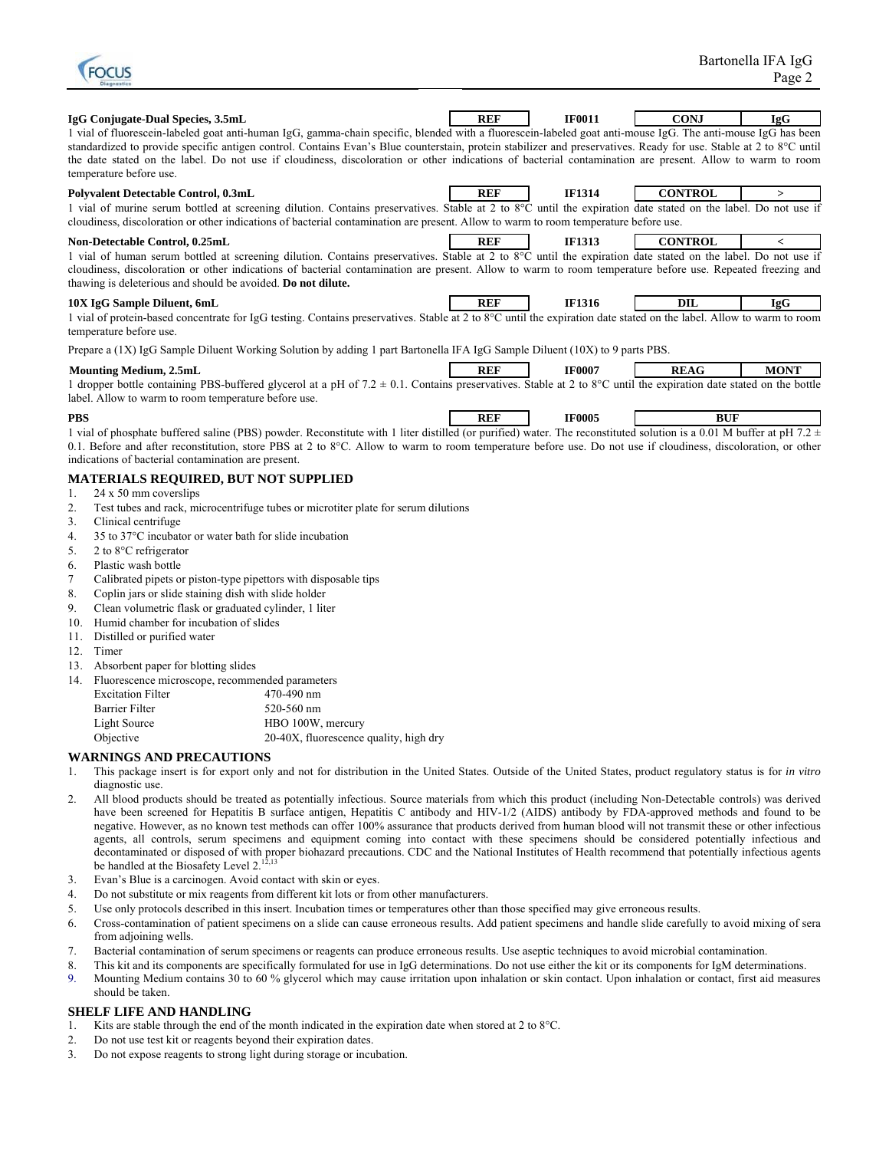

| IgG Conjugate-Dual Species, 3.5mL                                                                                                                                                                                                                                                                                                                                                                                                                                                                                         | <b>REF</b> | <b>IF0011</b> | <b>CONJ</b>    | <b>IgG</b>               |
|---------------------------------------------------------------------------------------------------------------------------------------------------------------------------------------------------------------------------------------------------------------------------------------------------------------------------------------------------------------------------------------------------------------------------------------------------------------------------------------------------------------------------|------------|---------------|----------------|--------------------------|
| 1 vial of fluorescein-labeled goat anti-human IgG, gamma-chain specific, blended with a fluorescein-labeled goat anti-mouse IgG. The anti-mouse IgG has been<br>standardized to provide specific antigen control. Contains Evan's Blue counterstain, protein stabilizer and preservatives. Ready for use. Stable at 2 to 8°C until<br>the date stated on the label. Do not use if cloudiness, discoloration or other indications of bacterial contamination are present. Allow to warm to room<br>temperature before use. |            |               |                |                          |
| Polyvalent Detectable Control, 0.3mL                                                                                                                                                                                                                                                                                                                                                                                                                                                                                      | <b>REF</b> | <b>IF1314</b> | <b>CONTROL</b> | $\geq$                   |
| 1 vial of murine serum bottled at screening dilution. Contains preservatives. Stable at 2 to 8°C until the expiration date stated on the label. Do not use if<br>cloudiness, discoloration or other indications of bacterial contamination are present. Allow to warm to room temperature before use.                                                                                                                                                                                                                     |            |               |                |                          |
| Non-Detectable Control, 0.25mL                                                                                                                                                                                                                                                                                                                                                                                                                                                                                            | <b>REF</b> | <b>IF1313</b> | <b>CONTROL</b> | $\overline{\phantom{a}}$ |
| 1 vial of human serum bottled at screening dilution. Contains preservatives. Stable at 2 to 8°C until the expiration date stated on the label. Do not use if<br>cloudiness, discoloration or other indications of bacterial contamination are present. Allow to warm to room temperature before use. Repeated freezing and<br>thawing is deleterious and should be avoided. Do not dilute.                                                                                                                                |            |               |                |                          |
| 10X IgG Sample Diluent, 6mL                                                                                                                                                                                                                                                                                                                                                                                                                                                                                               | <b>REF</b> | <b>IF1316</b> | DIL            | <b>IgG</b>               |
| 1 vial of protein-based concentrate for IgG testing. Contains preservatives. Stable at 2 to 8°C until the expiration date stated on the label. Allow to warm to room<br>temperature before use.                                                                                                                                                                                                                                                                                                                           |            |               |                |                          |
| Prepare a (1X) IgG Sample Diluent Working Solution by adding 1 part Bartonella IFA IgG Sample Diluent (10X) to 9 parts PBS.                                                                                                                                                                                                                                                                                                                                                                                               |            |               |                |                          |
| <b>Mounting Medium, 2.5mL</b>                                                                                                                                                                                                                                                                                                                                                                                                                                                                                             | <b>REF</b> | <b>IF0007</b> | <b>REAG</b>    | <b>MONT</b>              |
| 1 dropper bottle containing PBS-buffered glycerol at a pH of 7.2 $\pm$ 0.1. Contains preservatives. Stable at 2 to 8°C until the expiration date stated on the bottle<br>label. Allow to warm to room temperature before use.                                                                                                                                                                                                                                                                                             |            |               |                |                          |
| <b>PBS</b>                                                                                                                                                                                                                                                                                                                                                                                                                                                                                                                | <b>REF</b> | <b>IF0005</b> | <b>BUF</b>     |                          |
| 1 vial of phosphate buffered saline (PBS) powder. Reconstitute with 1 liter distilled (or purified) water. The reconstituted solution is a 0.01 M buffer at pH 7.2 $\pm$                                                                                                                                                                                                                                                                                                                                                  |            |               |                |                          |
| 0.1. Before and after reconstitution, store PBS at 2 to 8°C. Allow to warm to room temperature before use. Do not use if cloudiness, discoloration, or other<br>indications of bacterial contamination are present.                                                                                                                                                                                                                                                                                                       |            |               |                |                          |
| <b>MATERIALS REQUIRED, BUT NOT SUPPLIED</b>                                                                                                                                                                                                                                                                                                                                                                                                                                                                               |            |               |                |                          |
| 24 x 50 mm coverslips<br>1.                                                                                                                                                                                                                                                                                                                                                                                                                                                                                               |            |               |                |                          |
| Test tubes and rack, microcentrifuge tubes or microtiter plate for serum dilutions<br>2.                                                                                                                                                                                                                                                                                                                                                                                                                                  |            |               |                |                          |
| Clinical centrifuge<br>3.                                                                                                                                                                                                                                                                                                                                                                                                                                                                                                 |            |               |                |                          |
| 35 to 37°C incubator or water bath for slide incubation<br>4.                                                                                                                                                                                                                                                                                                                                                                                                                                                             |            |               |                |                          |
| 2 to 8°C refrigerator<br>5.                                                                                                                                                                                                                                                                                                                                                                                                                                                                                               |            |               |                |                          |
| Plastic wash bottle<br>6.                                                                                                                                                                                                                                                                                                                                                                                                                                                                                                 |            |               |                |                          |
| 7<br>Calibrated pipets or piston-type pipettors with disposable tips                                                                                                                                                                                                                                                                                                                                                                                                                                                      |            |               |                |                          |
| Coplin jars or slide staining dish with slide holder<br>8.                                                                                                                                                                                                                                                                                                                                                                                                                                                                |            |               |                |                          |
| Clean volumetric flask or graduated cylinder, 1 liter<br>9.                                                                                                                                                                                                                                                                                                                                                                                                                                                               |            |               |                |                          |

- 10. Humid chamber for incubation of slides
- 11. Distilled or purified water
- 12. Timer
- 13. Absorbent paper for blotting slides
- 14. Fluorescence microscope, recommended parameters

| <b>Excitation Filter</b> | 470-490 nm                             |
|--------------------------|----------------------------------------|
| <b>Barrier Filter</b>    | 520-560 nm                             |
| Light Source             | HBO 100W, mercury                      |
| Objective                | 20-40X, fluorescence quality, high dry |

# **WARNINGS AND PRECAUTIONS**

- 1. This package insert is for export only and not for distribution in the United States. Outside of the United States, product regulatory status is for *in vitro*  diagnostic use.
- 2. All blood products should be treated as potentially infectious. Source materials from which this product (including Non-Detectable controls) was derived have been screened for Hepatitis B surface antigen, Hepatitis C antibody and HIV-1/2 (AIDS) antibody by FDA-approved methods and found to be negative. However, as no known test methods can offer 100% assurance that products derived from human blood will not transmit these or other infectious agents, all controls, serum specimens and equipment coming into contact with these specimens should be considered potentially infectious and decontaminated or disposed of with proper biohazard precautions. CDC and the National Institutes of Health recommend that potentially infectious agents be handled at the Biosafety Level 2.<sup>12,13</sup>
- 3. Evan's Blue is a carcinogen. Avoid contact with skin or eyes.
- 4. Do not substitute or mix reagents from different kit lots or from other manufacturers.
- 5. Use only protocols described in this insert. Incubation times or temperatures other than those specified may give erroneous results.
- 6. Cross-contamination of patient specimens on a slide can cause erroneous results. Add patient specimens and handle slide carefully to avoid mixing of sera from adjoining wells.
- 7. Bacterial contamination of serum specimens or reagents can produce erroneous results. Use aseptic techniques to avoid microbial contamination.
- 8. This kit and its components are specifically formulated for use in IgG determinations. Do not use either the kit or its components for IgM determinations.
- 9. Mounting Medium contains 30 to 60 % glycerol which may cause irritation upon inhalation or skin contact. Upon inhalation or contact, first aid measures should be taken.

# **SHELF LIFE AND HANDLING**

- 1. Kits are stable through the end of the month indicated in the expiration date when stored at 2 to 8°C.
- 2. Do not use test kit or reagents beyond their expiration dates.
- 3. Do not expose reagents to strong light during storage or incubation.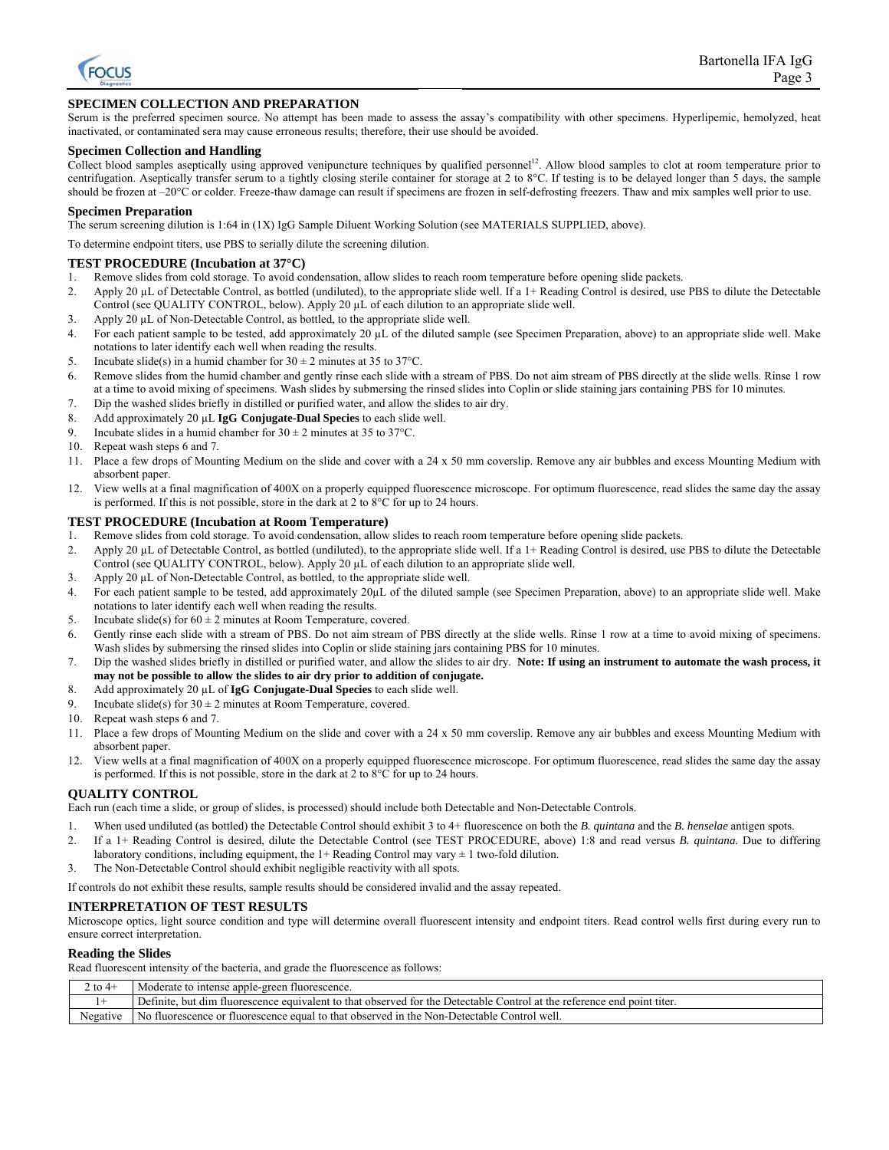

# **SPECIMEN COLLECTION AND PREPARATION**

Serum is the preferred specimen source. No attempt has been made to assess the assay's compatibility with other specimens. Hyperlipemic, hemolyzed, heat inactivated, or contaminated sera may cause erroneous results; therefore, their use should be avoided.

#### **Specimen Collection and Handling**

Collect blood samples aseptically using approved venipuncture techniques by qualified personnel<sup>12</sup>. Allow blood samples to clot at room temperature prior to centrifugation. Aseptically transfer serum to a tightly closing sterile container for storage at 2 to 8°C. If testing is to be delayed longer than 5 days, the sample should be frozen at –20°C or colder. Freeze-thaw damage can result if specimens are frozen in self-defrosting freezers. Thaw and mix samples well prior to use.

#### **Specimen Preparation**

The serum screening dilution is 1:64 in (1X) IgG Sample Diluent Working Solution (see MATERIALS SUPPLIED, above).

To determine endpoint titers, use PBS to serially dilute the screening dilution.

### **TEST PROCEDURE (Incubation at 37°C)**

- 1. Remove slides from cold storage. To avoid condensation, allow slides to reach room temperature before opening slide packets.
- 2. Apply 20 µL of Detectable Control, as bottled (undiluted), to the appropriate slide well. If a 1+ Reading Control is desired, use PBS to dilute the Detectable Control (see QUALITY CONTROL, below). Apply 20 µL of each dilution to an appropriate slide well.
- 3. Apply 20 µL of Non-Detectable Control, as bottled, to the appropriate slide well.
- 4. For each patient sample to be tested, add approximately  $20 \mu L$  of the diluted sample (see Specimen Preparation, above) to an appropriate slide well. Make notations to later identify each well when reading the results.
- 5. Incubate slide(s) in a humid chamber for  $30 \pm 2$  minutes at 35 to 37°C.
- 6. Remove slides from the humid chamber and gently rinse each slide with a stream of PBS. Do not aim stream of PBS directly at the slide wells. Rinse 1 row at a time to avoid mixing of specimens. Wash slides by submersing the rinsed slides into Coplin or slide staining jars containing PBS for 10 minutes.
- 7. Dip the washed slides briefly in distilled or purified water, and allow the slides to air dry.
- 8. Add approximately 20 µL **IgG Conjugate-Dual Species** to each slide well.
- 9. Incubate slides in a humid chamber for  $30 \pm 2$  minutes at 35 to 37°C.
- 10. Repeat wash steps 6 and 7.
- 11. Place a few drops of Mounting Medium on the slide and cover with a 24 x 50 mm coverslip. Remove any air bubbles and excess Mounting Medium with absorbent paper.
- 12. View wells at a final magnification of 400X on a properly equipped fluorescence microscope. For optimum fluorescence, read slides the same day the assay is performed. If this is not possible, store in the dark at 2 to 8°C for up to 24 hours.

#### **TEST PROCEDURE (Incubation at Room Temperature)**

- 1. Remove slides from cold storage. To avoid condensation, allow slides to reach room temperature before opening slide packets.
- 2. Apply 20 µL of Detectable Control, as bottled (undiluted), to the appropriate slide well. If a 1+ Reading Control is desired, use PBS to dilute the Detectable Control (see QUALITY CONTROL, below). Apply 20 µL of each dilution to an appropriate slide well.
- 3. Apply 20 µL of Non-Detectable Control, as bottled, to the appropriate slide well.
- 4. For each patient sample to be tested, add approximately 20µL of the diluted sample (see Specimen Preparation, above) to an appropriate slide well. Make notations to later identify each well when reading the results.
- 5. Incubate slide(s) for  $60 \pm 2$  minutes at Room Temperature, covered.
- 6. Gently rinse each slide with a stream of PBS. Do not aim stream of PBS directly at the slide wells. Rinse 1 row at a time to avoid mixing of specimens. Wash slides by submersing the rinsed slides into Coplin or slide staining jars containing PBS for 10 minutes.
- 7. Dip the washed slides briefly in distilled or purified water, and allow the slides to air dry. **Note: If using an instrument to automate the wash process, it may not be possible to allow the slides to air dry prior to addition of conjugate.**
- 8. Add approximately 20 µL of **IgG Conjugate-Dual Species** to each slide well.
- 9. Incubate slide(s) for  $30 \pm 2$  minutes at Room Temperature, covered.
- 10. Repeat wash steps 6 and 7.
- 11. Place a few drops of Mounting Medium on the slide and cover with a 24 x 50 mm coverslip. Remove any air bubbles and excess Mounting Medium with absorbent paper.
- 12. View wells at a final magnification of 400X on a properly equipped fluorescence microscope. For optimum fluorescence, read slides the same day the assay is performed. If this is not possible, store in the dark at 2 to 8°C for up to 24 hours.

#### **QUALITY CONTROL**

Each run (each time a slide, or group of slides, is processed) should include both Detectable and Non-Detectable Controls.

- 1. When used undiluted (as bottled) the Detectable Control should exhibit 3 to 4+ fluorescence on both the *B. quintana* and the *B. henselae* antigen spots.
- 2. If a 1+ Reading Control is desired, dilute the Detectable Control (see TEST PROCEDURE, above) 1:8 and read versus *B. quintana.* Due to differing laboratory conditions, including equipment, the  $1+$  Reading Control may vary  $\pm 1$  two-fold dilution.
- 3. The Non-Detectable Control should exhibit negligible reactivity with all spots.

If controls do not exhibit these results, sample results should be considered invalid and the assay repeated.

#### **INTERPRETATION OF TEST RESULTS**

Microscope optics, light source condition and type will determine overall fluorescent intensity and endpoint titers. Read control wells first during every run to ensure correct interpretation.

#### **Reading the Slides**

Read fluorescent intensity of the bacteria, and grade the fluorescence as follows:

| 2 to $4+$ | Moderate to intense apple-green fluorescence.                                                                                |
|-----------|------------------------------------------------------------------------------------------------------------------------------|
|           | Definite.<br>, but dim fluorescence equivalent to that observed for the Detectable Control at the reference end point titer. |
| Negative  | No fluorescence or fluorescence equal to that observed in the Non-Detectable Control well.                                   |